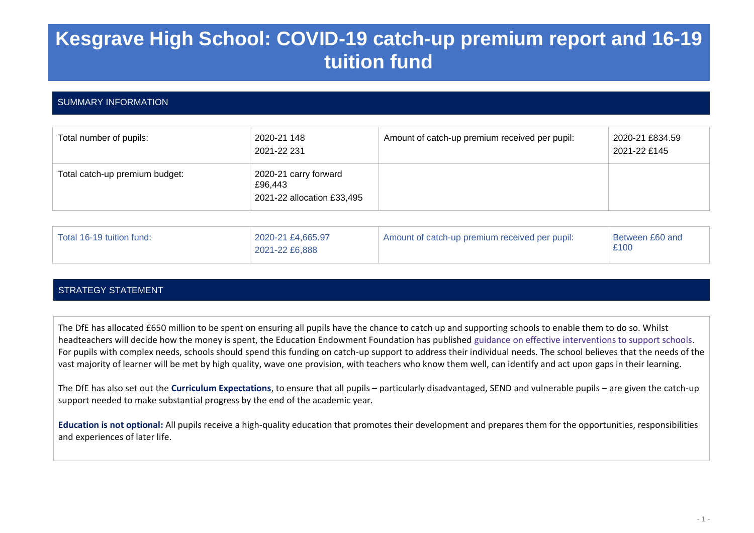# **Kesgrave High School: COVID-19 catch-up premium report and 16-19 tuition fund**

# SUMMARY INFORMATION

| Total number of pupils:        | 2020-21 148<br>2021-22 231                                     | Amount of catch-up premium received per pupil: | 2020-21 £834.59<br>2021-22 £145 |
|--------------------------------|----------------------------------------------------------------|------------------------------------------------|---------------------------------|
| Total catch-up premium budget: | 2020-21 carry forward<br>£96,443<br>2021-22 allocation £33,495 |                                                |                                 |

| Total 16-19 tuition fund: | 2020-21 £4,665.97<br>2021-22 £6,888 | Amount of catch-up premium received per pupil: | Between £60 and<br>£100 |
|---------------------------|-------------------------------------|------------------------------------------------|-------------------------|
|                           |                                     |                                                |                         |

# STRATEGY STATEMENT

The DfE has allocated £650 million to be spent on ensuring all pupils have the chance to catch up and supporting schools to enable them to do so. Whilst headteachers will decide how the money is spent, the Education Endowment Foundation has published guidance on effective interventions to support schools. For pupils with complex needs, schools should spend this funding on catch-up support to address their individual needs. The school believes that the needs of the vast majority of learner will be met by high quality, wave one provision, with teachers who know them well, can identify and act upon gaps in their learning.

The DfE has also set out the **Curriculum Expectations**, to ensure that all pupils – particularly disadvantaged, SEND and vulnerable pupils – are given the catch-up support needed to make substantial progress by the end of the academic year.

**Education is not optional:** All pupils receive a high-quality education that promotes their development and prepares them for the opportunities, responsibilities and experiences of later life.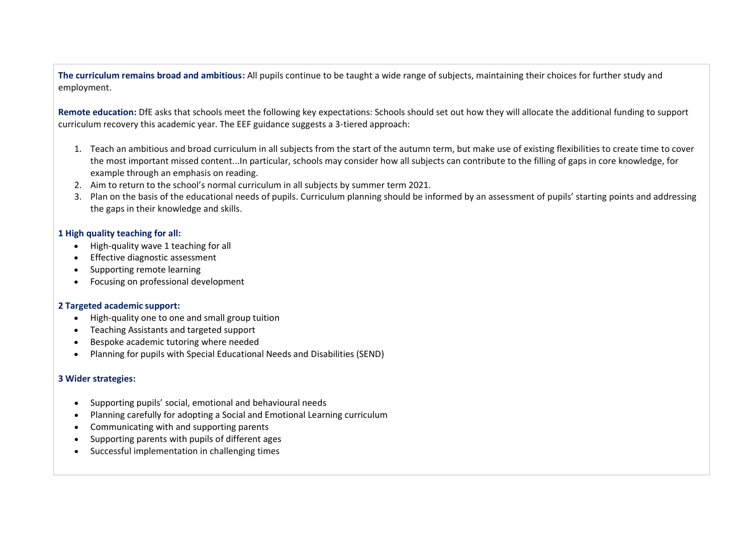**The curriculum remains broad and ambitious:** All pupils continue to be taught a wide range of subjects, maintaining their choices for further study and employment.

**Remote education:** DfE asks that schools meet the following key expectations: Schools should set out how they will allocate the additional funding to support curriculum recovery this academic year. The EEF guidance suggests a 3-tiered approach:

- 1. Teach an ambitious and broad curriculum in all subjects from the start of the autumn term, but make use of existing flexibilities to create time to cover the most important missed content...In particular, schools may consider how all subjects can contribute to the filling of gaps in core knowledge, for example through an emphasis on reading.
- 2. Aim to return to the school's normal curriculum in all subjects by summer term 2021.
- 3. Plan on the basis of the educational needs of pupils. Curriculum planning should be informed by an assessment of pupils' starting points and addressing the gaps in their knowledge and skills.

#### **1 High quality teaching for all:**

- High-quality wave 1 teaching for all
- Effective diagnostic assessment
- Supporting remote learning
- Focusing on professional development

#### **2 Targeted academic support:**

- High-quality one to one and small group tuition
- Teaching Assistants and targeted support
- Bespoke academic tutoring where needed
- Planning for pupils with Special Educational Needs and Disabilities (SEND)

## **3 Wider strategies:**

- Supporting pupils' social, emotional and behavioural needs
- Planning carefully for adopting a Social and Emotional Learning curriculum
- Communicating with and supporting parents
- Supporting parents with pupils of different ages
- Successful implementation in challenging times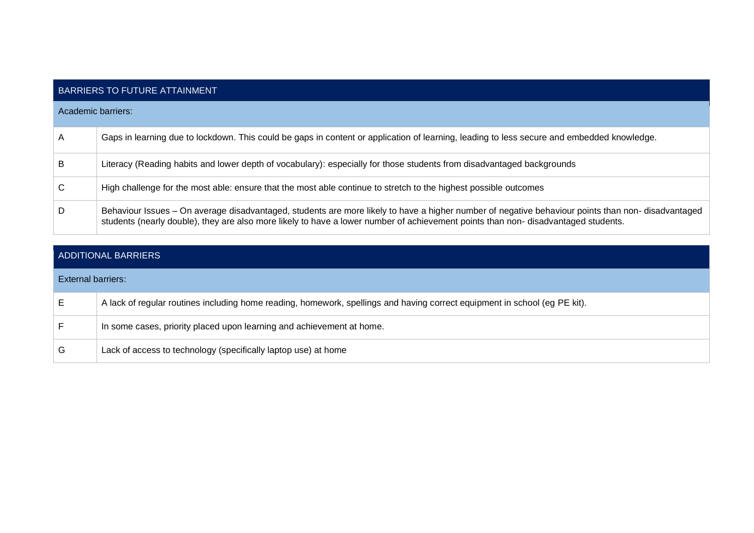|                    | <b>BARRIERS TO FUTURE ATTAINMENT</b>                                                                                                                                                                                                                                                     |  |  |  |
|--------------------|------------------------------------------------------------------------------------------------------------------------------------------------------------------------------------------------------------------------------------------------------------------------------------------|--|--|--|
| Academic barriers: |                                                                                                                                                                                                                                                                                          |  |  |  |
| A                  | Gaps in learning due to lockdown. This could be gaps in content or application of learning, leading to less secure and embedded knowledge.                                                                                                                                               |  |  |  |
| B                  | Literacy (Reading habits and lower depth of vocabulary): especially for those students from disadvantaged backgrounds                                                                                                                                                                    |  |  |  |
| C                  | High challenge for the most able: ensure that the most able continue to stretch to the highest possible outcomes                                                                                                                                                                         |  |  |  |
| D                  | Behaviour Issues - On average disadvantaged, students are more likely to have a higher number of negative behaviour points than non- disadvantaged<br>students (nearly double), they are also more likely to have a lower number of achievement points than non- disadvantaged students. |  |  |  |

|                    | ADDITIONAL BARRIERS                                                                                                        |
|--------------------|----------------------------------------------------------------------------------------------------------------------------|
| External barriers: |                                                                                                                            |
| Е                  | A lack of regular routines including home reading, homework, spellings and having correct equipment in school (eg PE kit). |
|                    | In some cases, priority placed upon learning and achievement at home.                                                      |
| G                  | Lack of access to technology (specifically laptop use) at home                                                             |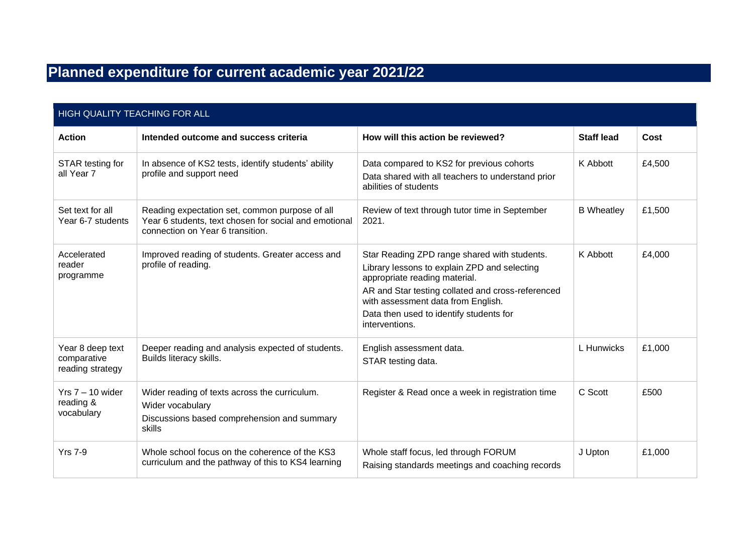# **Planned expenditure for current academic year 2021/22**

| HIGH QUALITY TEACHING FOR ALL                       |                                                                                                                                             |                                                                                                                                                                                                                                                                                       |                   |        |  |
|-----------------------------------------------------|---------------------------------------------------------------------------------------------------------------------------------------------|---------------------------------------------------------------------------------------------------------------------------------------------------------------------------------------------------------------------------------------------------------------------------------------|-------------------|--------|--|
| <b>Action</b>                                       | Intended outcome and success criteria                                                                                                       | How will this action be reviewed?                                                                                                                                                                                                                                                     | <b>Staff lead</b> | Cost   |  |
| STAR testing for<br>all Year 7                      | In absence of KS2 tests, identify students' ability<br>profile and support need                                                             | Data compared to KS2 for previous cohorts<br>Data shared with all teachers to understand prior<br>abilities of students                                                                                                                                                               | K Abbott          | £4,500 |  |
| Set text for all<br>Year 6-7 students               | Reading expectation set, common purpose of all<br>Year 6 students, text chosen for social and emotional<br>connection on Year 6 transition. | Review of text through tutor time in September<br>2021.                                                                                                                                                                                                                               | <b>B</b> Wheatley | £1,500 |  |
| Accelerated<br>reader<br>programme                  | Improved reading of students. Greater access and<br>profile of reading.                                                                     | Star Reading ZPD range shared with students.<br>Library lessons to explain ZPD and selecting<br>appropriate reading material.<br>AR and Star testing collated and cross-referenced<br>with assessment data from English.<br>Data then used to identify students for<br>interventions. | K Abbott          | £4,000 |  |
| Year 8 deep text<br>comparative<br>reading strategy | Deeper reading and analysis expected of students.<br>Builds literacy skills.                                                                | English assessment data.<br>STAR testing data.                                                                                                                                                                                                                                        | L Hunwicks        | £1,000 |  |
| Yrs 7 – 10 wider<br>reading &<br>vocabulary         | Wider reading of texts across the curriculum.<br>Wider vocabulary<br>Discussions based comprehension and summary<br>skills                  | Register & Read once a week in registration time                                                                                                                                                                                                                                      | C Scott           | £500   |  |
| <b>Yrs 7-9</b>                                      | Whole school focus on the coherence of the KS3<br>curriculum and the pathway of this to KS4 learning                                        | Whole staff focus, led through FORUM<br>Raising standards meetings and coaching records                                                                                                                                                                                               | J Upton           | £1,000 |  |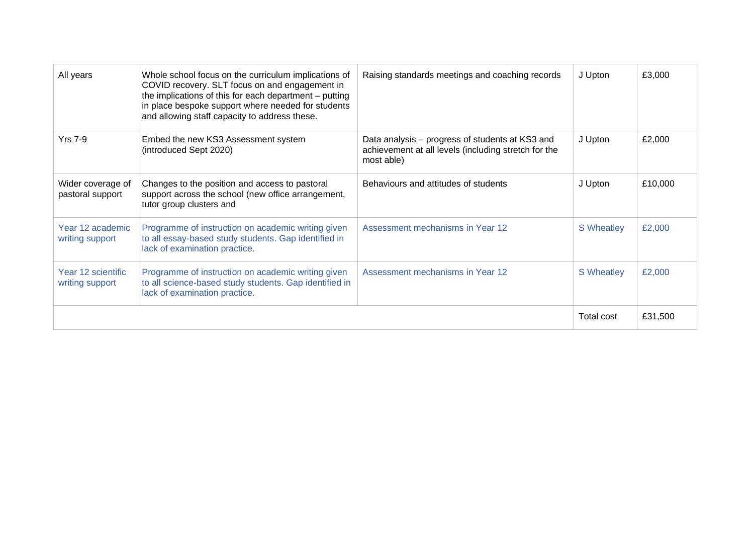| All years                             | Whole school focus on the curriculum implications of<br>COVID recovery. SLT focus on and engagement in<br>the implications of this for each department - putting<br>in place bespoke support where needed for students<br>and allowing staff capacity to address these. | Raising standards meetings and coaching records                                                                       | J Upton           | £3,000  |
|---------------------------------------|-------------------------------------------------------------------------------------------------------------------------------------------------------------------------------------------------------------------------------------------------------------------------|-----------------------------------------------------------------------------------------------------------------------|-------------------|---------|
| <b>Yrs 7-9</b>                        | Embed the new KS3 Assessment system<br>(introduced Sept 2020)                                                                                                                                                                                                           | Data analysis – progress of students at KS3 and<br>achievement at all levels (including stretch for the<br>most able) | J Upton           | £2,000  |
| Wider coverage of<br>pastoral support | Changes to the position and access to pastoral<br>support across the school (new office arrangement,<br>tutor group clusters and                                                                                                                                        | Behaviours and attitudes of students                                                                                  | J Upton           | £10,000 |
| Year 12 academic<br>writing support   | Programme of instruction on academic writing given<br>to all essay-based study students. Gap identified in<br>lack of examination practice.                                                                                                                             | Assessment mechanisms in Year 12                                                                                      | <b>S</b> Wheatley | £2,000  |
| Year 12 scientific<br>writing support | Programme of instruction on academic writing given<br>to all science-based study students. Gap identified in<br>lack of examination practice.                                                                                                                           | Assessment mechanisms in Year 12                                                                                      | <b>S</b> Wheatley | £2,000  |
|                                       |                                                                                                                                                                                                                                                                         |                                                                                                                       | Total cost        | £31,500 |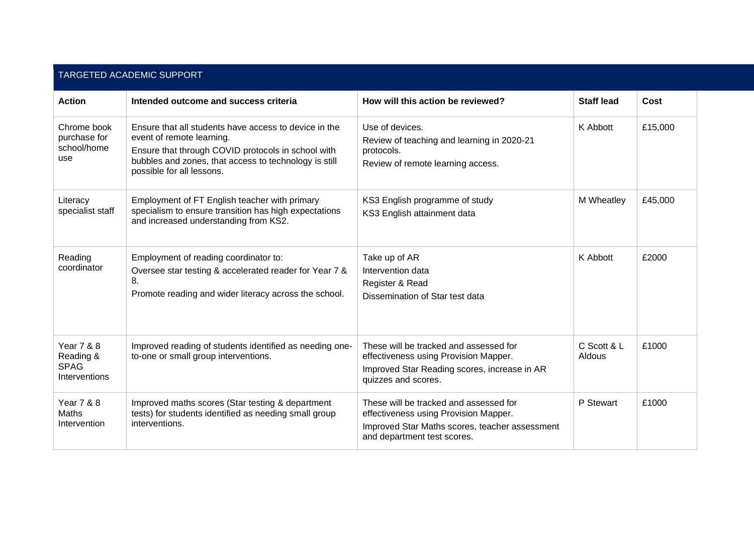| TARGETED ACADEMIC SUPPORT                                          |                                                                                                                                                                                                                                |                                                                                                                                                                  |                       |         |  |
|--------------------------------------------------------------------|--------------------------------------------------------------------------------------------------------------------------------------------------------------------------------------------------------------------------------|------------------------------------------------------------------------------------------------------------------------------------------------------------------|-----------------------|---------|--|
| <b>Action</b>                                                      | Intended outcome and success criteria                                                                                                                                                                                          | How will this action be reviewed?                                                                                                                                | <b>Staff lead</b>     | Cost    |  |
| Chrome book<br>purchase for<br>school/home<br>use                  | Ensure that all students have access to device in the<br>event of remote learning.<br>Ensure that through COVID protocols in school with<br>bubbles and zones, that access to technology is still<br>possible for all lessons. | Use of devices.<br>Review of teaching and learning in 2020-21<br>protocols.<br>Review of remote learning access.                                                 | K Abbott              | £15,000 |  |
| Literacy<br>specialist staff                                       | Employment of FT English teacher with primary<br>specialism to ensure transition has high expectations<br>and increased understanding from KS2.                                                                                | KS3 English programme of study<br>KS3 English attainment data                                                                                                    | M Wheatley            | £45,000 |  |
| Reading<br>coordinator                                             | Employment of reading coordinator to:<br>Oversee star testing & accelerated reader for Year 7 &<br>8.<br>Promote reading and wider literacy across the school.                                                                 | Take up of AR<br>Intervention data<br>Register & Read<br>Dissemination of Star test data                                                                         | K Abbott              | £2000   |  |
| <b>Year 7 &amp; 8</b><br>Reading &<br><b>SPAG</b><br>Interventions | Improved reading of students identified as needing one-<br>to-one or small group interventions.                                                                                                                                | These will be tracked and assessed for<br>effectiveness using Provision Mapper.<br>Improved Star Reading scores, increase in AR<br>quizzes and scores.           | C Scott & L<br>Aldous | £1000   |  |
| <b>Year 7 &amp; 8</b><br>Maths<br>Intervention                     | Improved maths scores (Star testing & department<br>tests) for students identified as needing small group<br>interventions.                                                                                                    | These will be tracked and assessed for<br>effectiveness using Provision Mapper.<br>Improved Star Maths scores, teacher assessment<br>and department test scores. | P Stewart             | £1000   |  |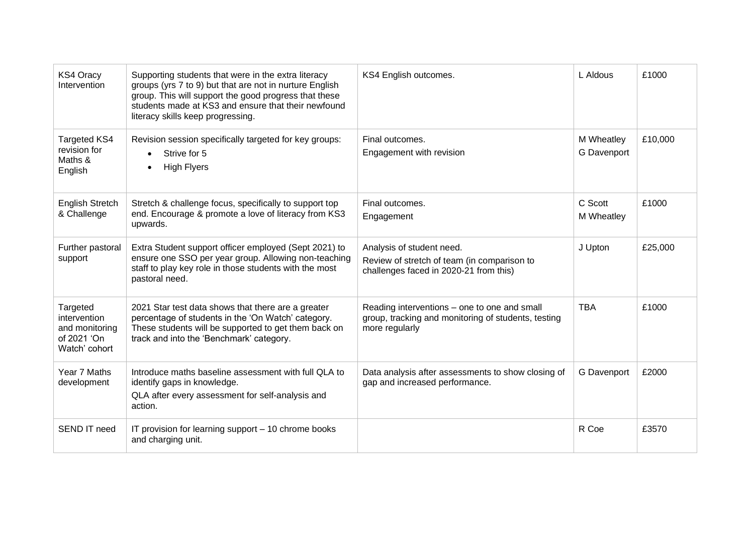| <b>KS4 Oracy</b><br>Intervention                                           | Supporting students that were in the extra literacy<br>groups (yrs 7 to 9) but that are not in nurture English<br>group. This will support the good progress that these<br>students made at KS3 and ensure that their newfound<br>literacy skills keep progressing. | KS4 English outcomes.                                                                                                 | L Aldous                  | £1000   |
|----------------------------------------------------------------------------|---------------------------------------------------------------------------------------------------------------------------------------------------------------------------------------------------------------------------------------------------------------------|-----------------------------------------------------------------------------------------------------------------------|---------------------------|---------|
| <b>Targeted KS4</b><br>revision for<br>Maths &<br>English                  | Revision session specifically targeted for key groups:<br>Strive for 5<br>$\bullet$<br><b>High Flyers</b>                                                                                                                                                           | Final outcomes.<br>Engagement with revision                                                                           | M Wheatley<br>G Davenport | £10,000 |
| English Stretch<br>& Challenge                                             | Stretch & challenge focus, specifically to support top<br>end. Encourage & promote a love of literacy from KS3<br>upwards.                                                                                                                                          | Final outcomes.<br>Engagement                                                                                         | C Scott<br>M Wheatley     | £1000   |
| Further pastoral<br>support                                                | Extra Student support officer employed (Sept 2021) to<br>ensure one SSO per year group. Allowing non-teaching<br>staff to play key role in those students with the most<br>pastoral need.                                                                           | Analysis of student need.<br>Review of stretch of team (in comparison to<br>challenges faced in 2020-21 from this)    | J Upton                   | £25,000 |
| Targeted<br>intervention<br>and monitoring<br>of 2021 'On<br>Watch' cohort | 2021 Star test data shows that there are a greater<br>percentage of students in the 'On Watch' category.<br>These students will be supported to get them back on<br>track and into the 'Benchmark' category.                                                        | Reading interventions – one to one and small<br>group, tracking and monitoring of students, testing<br>more regularly | <b>TBA</b>                | £1000   |
| Year 7 Maths<br>development                                                | Introduce maths baseline assessment with full QLA to<br>identify gaps in knowledge.<br>QLA after every assessment for self-analysis and<br>action.                                                                                                                  | Data analysis after assessments to show closing of<br>gap and increased performance.                                  | G Davenport               | £2000   |
| SEND IT need                                                               | IT provision for learning support - 10 chrome books<br>and charging unit.                                                                                                                                                                                           |                                                                                                                       | R Coe                     | £3570   |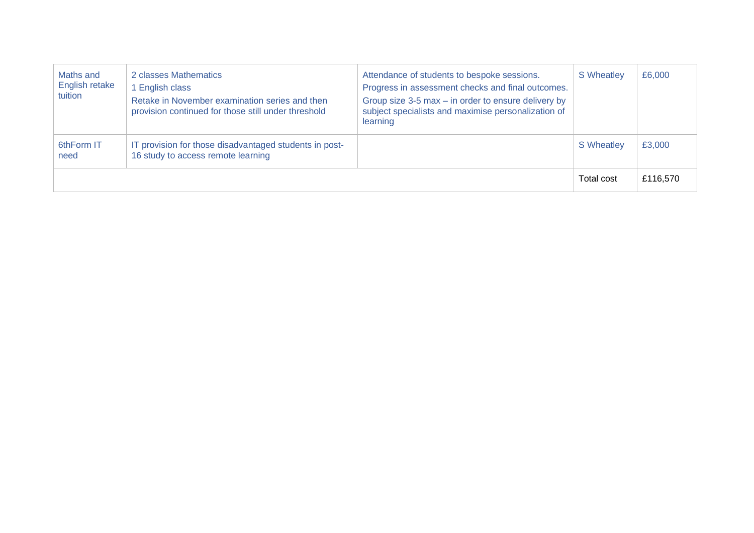| Maths and<br>English retake<br>tuition | 2 classes Mathematics<br>1 English class<br>Retake in November examination series and then<br>provision continued for those still under threshold | Attendance of students to bespoke sessions.<br>Progress in assessment checks and final outcomes.<br>Group size 3-5 max - in order to ensure delivery by<br>subject specialists and maximise personalization of<br>learning | S Wheatley | £6,000   |
|----------------------------------------|---------------------------------------------------------------------------------------------------------------------------------------------------|----------------------------------------------------------------------------------------------------------------------------------------------------------------------------------------------------------------------------|------------|----------|
| 6thForm IT<br>need                     | IT provision for those disadvantaged students in post-<br>16 study to access remote learning                                                      |                                                                                                                                                                                                                            | S Wheatley | £3,000   |
|                                        |                                                                                                                                                   |                                                                                                                                                                                                                            | Total cost | £116,570 |